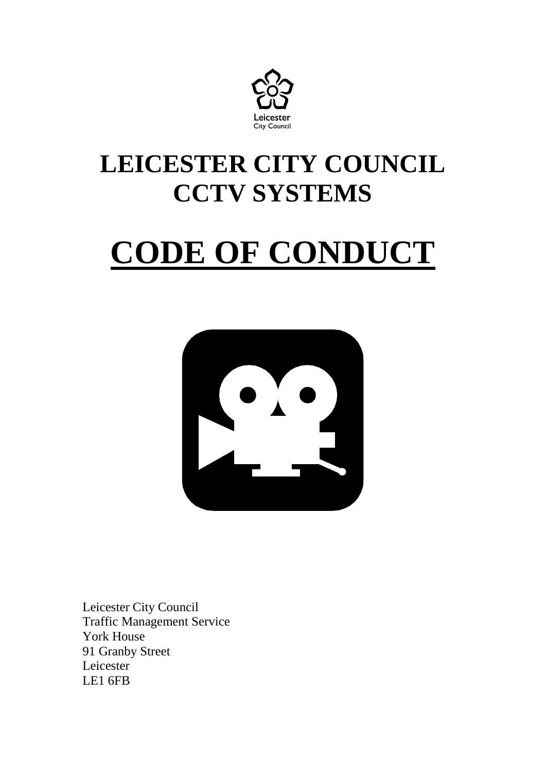

## **LEICESTER CITY COUNCIL CCTV SYSTEMS**

# **CODE OF CONDUCT**



Leicester City Council Traffic Management Service York House 91 Granby Street Leicester LE1 6FB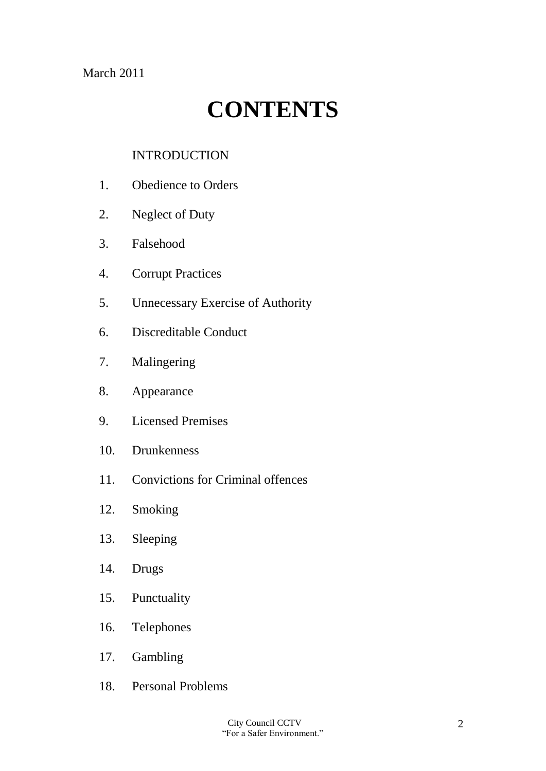March 2011

## **CONTENTS**

#### INTRODUCTION

- 1. Obedience to Orders
- 2. Neglect of Duty
- 3. Falsehood
- 4. Corrupt Practices
- 5. Unnecessary Exercise of Authority
- 6. Discreditable Conduct
- 7. Malingering
- 8. Appearance
- 9. Licensed Premises
- 10. Drunkenness
- 11. Convictions for Criminal offences
- 12. Smoking
- 13. Sleeping
- 14. Drugs
- 15. Punctuality
- 16. Telephones
- 17. Gambling
- 18. Personal Problems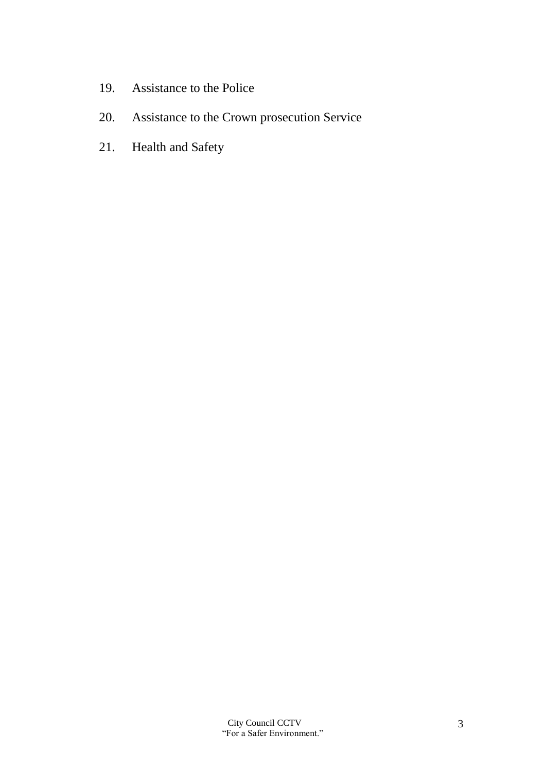- 19. Assistance to the Police
- 20. Assistance to the Crown prosecution Service
- 21. Health and Safety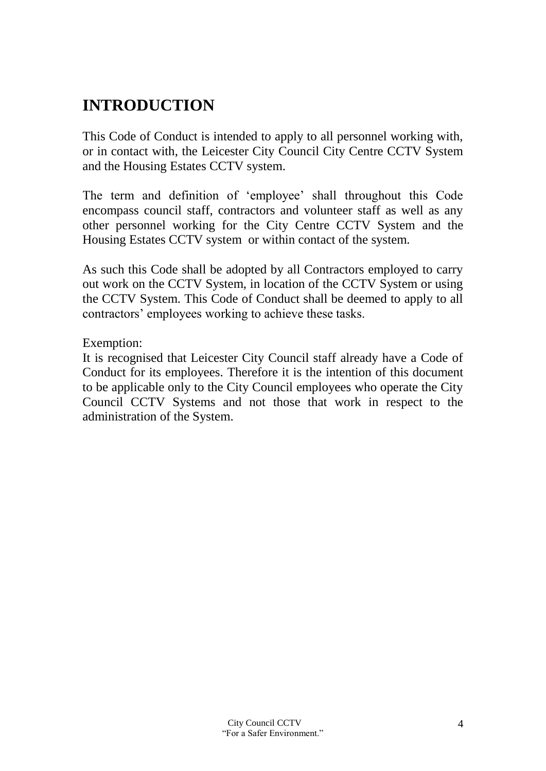#### **INTRODUCTION**

This Code of Conduct is intended to apply to all personnel working with, or in contact with, the Leicester City Council City Centre CCTV System and the Housing Estates CCTV system.

The term and definition of 'employee' shall throughout this Code encompass council staff, contractors and volunteer staff as well as any other personnel working for the City Centre CCTV System and the Housing Estates CCTV system or within contact of the system.

As such this Code shall be adopted by all Contractors employed to carry out work on the CCTV System, in location of the CCTV System or using the CCTV System. This Code of Conduct shall be deemed to apply to all contractors' employees working to achieve these tasks.

Exemption:

It is recognised that Leicester City Council staff already have a Code of Conduct for its employees. Therefore it is the intention of this document to be applicable only to the City Council employees who operate the City Council CCTV Systems and not those that work in respect to the administration of the System.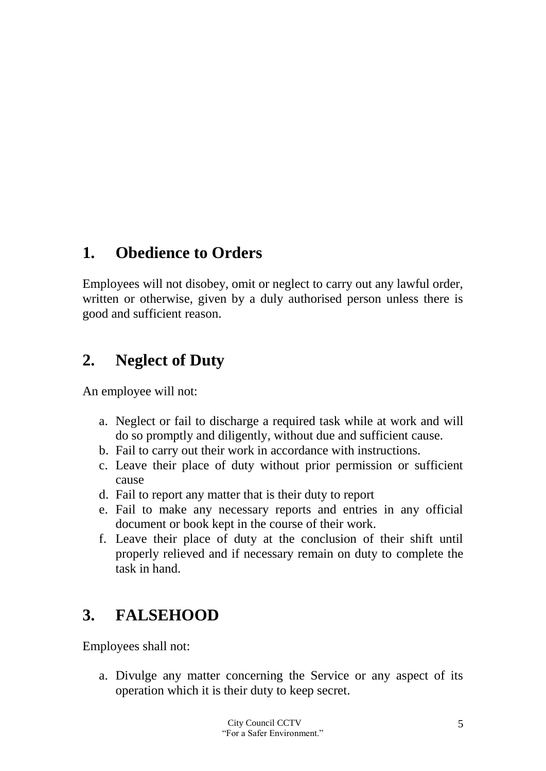#### **1. Obedience to Orders**

Employees will not disobey, omit or neglect to carry out any lawful order, written or otherwise, given by a duly authorised person unless there is good and sufficient reason.

#### **2. Neglect of Duty**

An employee will not:

- a. Neglect or fail to discharge a required task while at work and will do so promptly and diligently, without due and sufficient cause.
- b. Fail to carry out their work in accordance with instructions.
- c. Leave their place of duty without prior permission or sufficient cause
- d. Fail to report any matter that is their duty to report
- e. Fail to make any necessary reports and entries in any official document or book kept in the course of their work.
- f. Leave their place of duty at the conclusion of their shift until properly relieved and if necessary remain on duty to complete the task in hand.

#### **3. FALSEHOOD**

Employees shall not:

a. Divulge any matter concerning the Service or any aspect of its operation which it is their duty to keep secret.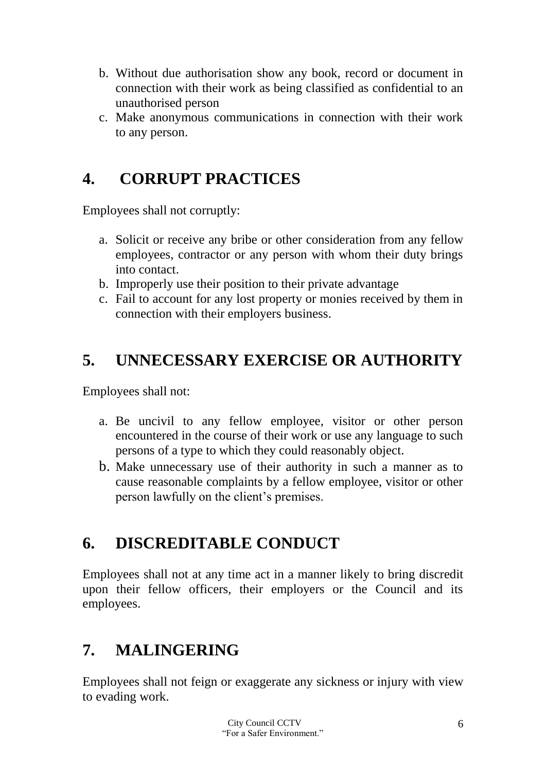- b. Without due authorisation show any book, record or document in connection with their work as being classified as confidential to an unauthorised person
- c. Make anonymous communications in connection with their work to any person.

#### **4. CORRUPT PRACTICES**

Employees shall not corruptly:

- a. Solicit or receive any bribe or other consideration from any fellow employees, contractor or any person with whom their duty brings into contact.
- b. Improperly use their position to their private advantage
- c. Fail to account for any lost property or monies received by them in connection with their employers business.

#### **5. UNNECESSARY EXERCISE OR AUTHORITY**

Employees shall not:

- a. Be uncivil to any fellow employee, visitor or other person encountered in the course of their work or use any language to such persons of a type to which they could reasonably object.
- b. Make unnecessary use of their authority in such a manner as to cause reasonable complaints by a fellow employee, visitor or other person lawfully on the client's premises.

#### **6. DISCREDITABLE CONDUCT**

Employees shall not at any time act in a manner likely to bring discredit upon their fellow officers, their employers or the Council and its employees.

#### **7. MALINGERING**

Employees shall not feign or exaggerate any sickness or injury with view to evading work.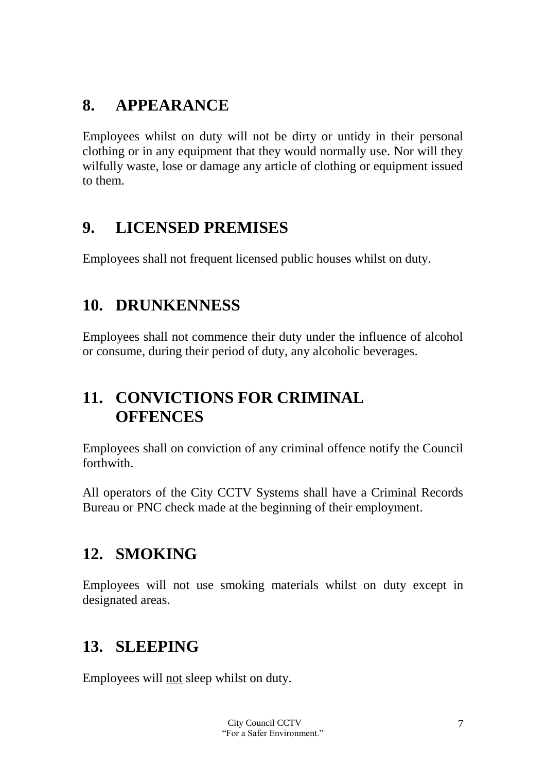#### **8. APPEARANCE**

Employees whilst on duty will not be dirty or untidy in their personal clothing or in any equipment that they would normally use. Nor will they wilfully waste, lose or damage any article of clothing or equipment issued to them.

#### **9. LICENSED PREMISES**

Employees shall not frequent licensed public houses whilst on duty.

#### **10. DRUNKENNESS**

Employees shall not commence their duty under the influence of alcohol or consume, during their period of duty, any alcoholic beverages.

#### **11. CONVICTIONS FOR CRIMINAL OFFENCES**

Employees shall on conviction of any criminal offence notify the Council forthwith.

All operators of the City CCTV Systems shall have a Criminal Records Bureau or PNC check made at the beginning of their employment.

#### **12. SMOKING**

Employees will not use smoking materials whilst on duty except in designated areas.

#### **13. SLEEPING**

Employees will not sleep whilst on duty.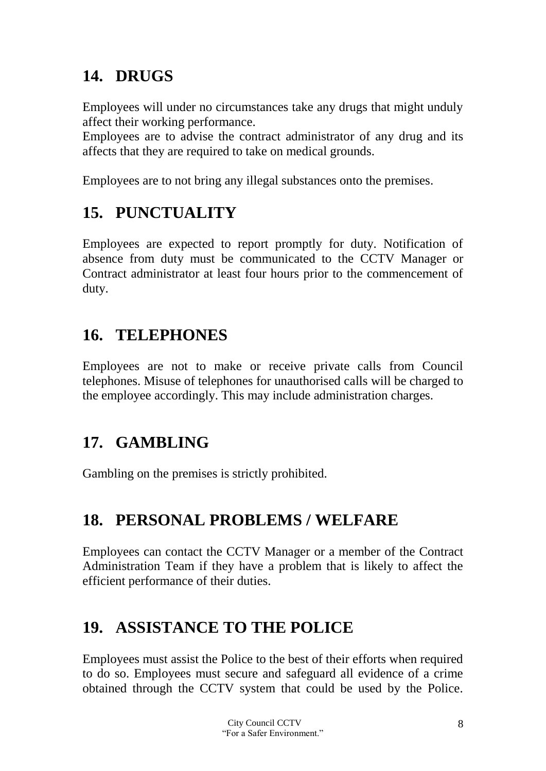### **14. DRUGS**

Employees will under no circumstances take any drugs that might unduly affect their working performance.

Employees are to advise the contract administrator of any drug and its affects that they are required to take on medical grounds.

Employees are to not bring any illegal substances onto the premises.

### **15. PUNCTUALITY**

Employees are expected to report promptly for duty. Notification of absence from duty must be communicated to the CCTV Manager or Contract administrator at least four hours prior to the commencement of duty.

#### **16. TELEPHONES**

Employees are not to make or receive private calls from Council telephones. Misuse of telephones for unauthorised calls will be charged to the employee accordingly. This may include administration charges.

#### **17. GAMBLING**

Gambling on the premises is strictly prohibited.

#### **18. PERSONAL PROBLEMS / WELFARE**

Employees can contact the CCTV Manager or a member of the Contract Administration Team if they have a problem that is likely to affect the efficient performance of their duties.

#### **19. ASSISTANCE TO THE POLICE**

Employees must assist the Police to the best of their efforts when required to do so. Employees must secure and safeguard all evidence of a crime obtained through the CCTV system that could be used by the Police.